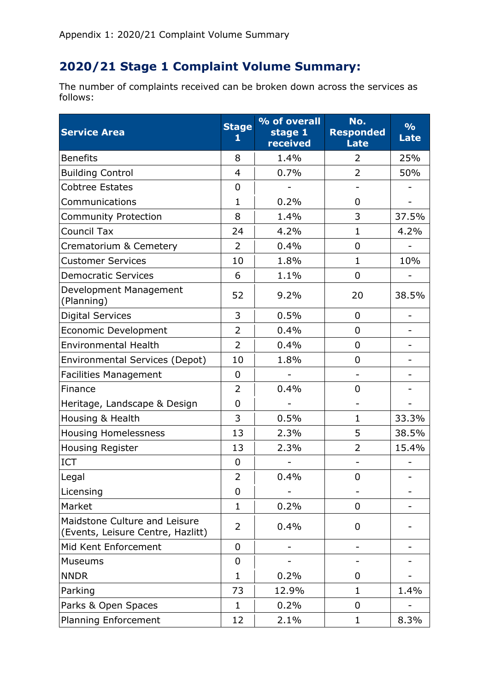## **2020/21 Stage 1 Complaint Volume Summary:**

The number of complaints received can be broken down across the services as follows:

| <b>Service Area</b>                                                | <b>Stage</b><br>1 | % of overall<br>stage 1<br>received | No.<br><b>Responded</b><br><b>Late</b> | $\frac{9}{6}$<br><b>Late</b> |
|--------------------------------------------------------------------|-------------------|-------------------------------------|----------------------------------------|------------------------------|
| <b>Benefits</b>                                                    | 8                 | 1.4%                                | 2                                      | 25%                          |
| <b>Building Control</b>                                            | $\overline{4}$    | 0.7%                                | $\overline{2}$                         | 50%                          |
| <b>Cobtree Estates</b>                                             | 0                 |                                     | $\qquad \qquad -$                      |                              |
| Communications                                                     | $\mathbf{1}$      | 0.2%                                | 0                                      |                              |
| <b>Community Protection</b>                                        | 8                 | 1.4%                                | 3                                      | 37.5%                        |
| <b>Council Tax</b>                                                 | 24                | 4.2%                                | $\mathbf 1$                            | 4.2%                         |
| Crematorium & Cemetery                                             | 2                 | 0.4%                                | $\overline{0}$                         |                              |
| <b>Customer Services</b>                                           | 10                | 1.8%                                | $\mathbf{1}$                           | 10%                          |
| <b>Democratic Services</b>                                         | 6                 | 1.1%                                | $\overline{0}$                         |                              |
| Development Management<br>(Planning)                               | 52                | 9.2%                                | 20                                     | 38.5%                        |
| <b>Digital Services</b>                                            | 3                 | 0.5%                                | $\overline{0}$                         |                              |
| <b>Economic Development</b>                                        | $\overline{2}$    | 0.4%                                | $\overline{0}$                         | $\overline{\phantom{a}}$     |
| <b>Environmental Health</b>                                        | $\overline{2}$    | 0.4%                                | $\overline{0}$                         |                              |
| <b>Environmental Services (Depot)</b>                              | 10                | 1.8%                                | 0                                      |                              |
| <b>Facilities Management</b>                                       | $\overline{0}$    |                                     | $\qquad \qquad -$                      |                              |
| Finance                                                            | 2                 | 0.4%                                | 0                                      |                              |
| Heritage, Landscape & Design                                       | $\overline{0}$    |                                     |                                        |                              |
| Housing & Health                                                   | 3                 | 0.5%                                | 1                                      | 33.3%                        |
| <b>Housing Homelessness</b>                                        | 13                | 2.3%                                | 5                                      | 38.5%                        |
| <b>Housing Register</b>                                            | 13                | 2.3%                                | 2                                      | 15.4%                        |
| ICT                                                                | $\mathbf 0$       |                                     |                                        |                              |
| Legal                                                              | $\overline{2}$    | 0.4%                                | $\overline{0}$                         |                              |
| Licensing                                                          | $\mathbf 0$       |                                     |                                        |                              |
| Market                                                             | $\mathbf{1}$      | 0.2%                                | $\overline{0}$                         |                              |
| Maidstone Culture and Leisure<br>(Events, Leisure Centre, Hazlitt) | 2                 | 0.4%                                | $\overline{0}$                         |                              |
| Mid Kent Enforcement                                               | $\mathbf 0$       |                                     | -                                      |                              |
| <b>Museums</b>                                                     | $\mathbf 0$       |                                     |                                        |                              |
| <b>NNDR</b>                                                        | $\mathbf{1}$      | 0.2%                                | 0                                      |                              |
| Parking                                                            | 73                | 12.9%                               | $\mathbf 1$                            | 1.4%                         |
| Parks & Open Spaces                                                | 1                 | 0.2%                                | $\mathbf 0$                            |                              |
| <b>Planning Enforcement</b>                                        | 12                | 2.1%                                | $\mathbf 1$                            | 8.3%                         |